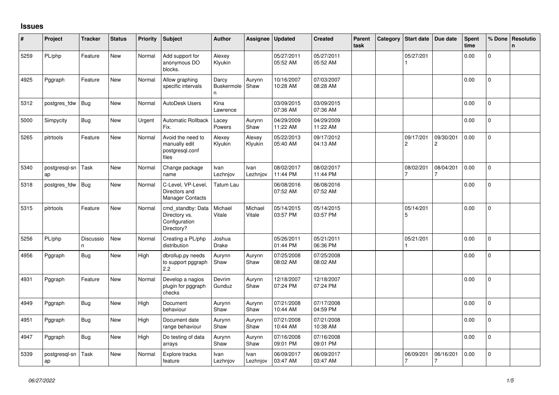## **Issues**

| #    | Project             | <b>Tracker</b> | <b>Status</b> | <b>Priority</b> | <b>Subject</b>                                                    | <b>Author</b>             | Assignee          | Updated                | <b>Created</b>         | Parent<br>task | Category | Start date                  | Due date                    | <b>Spent</b><br>time | % Done         | Resolutio<br>$\mathbf n$ |
|------|---------------------|----------------|---------------|-----------------|-------------------------------------------------------------------|---------------------------|-------------------|------------------------|------------------------|----------------|----------|-----------------------------|-----------------------------|----------------------|----------------|--------------------------|
| 5259 | PL/php              | Feature        | <b>New</b>    | Normal          | Add support for<br>anonymous DO<br>blocks.                        | Alexey<br>Klyukin         |                   | 05/27/2011<br>05:52 AM | 05/27/2011<br>05:52 AM |                |          | 05/27/201                   |                             | 0.00                 | $\Omega$       |                          |
| 4925 | Pggraph             | Feature        | New           | Normal          | Allow graphing<br>specific intervals                              | Darcy<br>Buskermole<br>n. | Aurynn<br>Shaw    | 10/16/2007<br>10:28 AM | 07/03/2007<br>08:28 AM |                |          |                             |                             | 0.00                 | $\overline{0}$ |                          |
| 5312 | postgres_fdw        | Bug            | <b>New</b>    | Normal          | AutoDesk Users                                                    | Kina<br>Lawrence          |                   | 03/09/2015<br>07:36 AM | 03/09/2015<br>07:36 AM |                |          |                             |                             | 0.00                 | $\mathbf 0$    |                          |
| 5000 | Simpycity           | Bug            | <b>New</b>    | Urgent          | <b>Automatic Rollback</b><br>Fix.                                 | Lacey<br>Powers           | Aurynn<br>Shaw    | 04/29/2009<br>11:22 AM | 04/29/2009<br>11:22 AM |                |          |                             |                             | 0.00                 | 0              |                          |
| 5265 | pitrtools           | Feature        | New           | Normal          | Avoid the need to<br>manually edit<br>postgresgl.conf<br>files    | Alexey<br>Klyukin         | Alexey<br>Klyukin | 05/22/2013<br>05:40 AM | 09/17/2012<br>04:13 AM |                |          | 09/17/201<br>$\overline{c}$ | 09/30/201<br>$\overline{c}$ | 0.00                 | $\mathbf 0$    |                          |
| 5340 | postgresgl-sn<br>ap | Task           | <b>New</b>    | Normal          | Change package<br>name                                            | Ivan<br>Lezhnjov          | Ivan<br>Lezhnjov  | 08/02/2017<br>11:44 PM | 08/02/2017<br>11:44 PM |                |          | 08/02/201<br>$\overline{7}$ | 08/04/201<br>7              | 0.00                 | $\mathbf 0$    |                          |
| 5318 | postgres fdw        | <b>Bug</b>     | New           | Normal          | C-Level, VP-Level,<br>Directors and<br>Manager Contacts           | Tatum Lau                 |                   | 06/08/2016<br>07:52 AM | 06/08/2016<br>07:52 AM |                |          |                             |                             | 0.00                 | 0              |                          |
| 5315 | pitrtools           | Feature        | New           | Normal          | cmd_standby: Data<br>Directory vs.<br>Configuration<br>Directory? | Michael<br>Vitale         | Michael<br>Vitale | 05/14/2015<br>03:57 PM | 05/14/2015<br>03:57 PM |                |          | 05/14/201<br>5              |                             | 0.00                 | 0              |                          |
| 5256 | PL/php              | Discussio<br>n | New           | Normal          | Creating a PL/php<br>distribution                                 | Joshua<br>Drake           |                   | 05/26/2011<br>01:44 PM | 05/21/2011<br>06:36 PM |                |          | 05/21/201                   |                             | 0.00                 | $\overline{0}$ |                          |
| 4956 | Pggraph             | <b>Bug</b>     | New           | High            | dbrollup.py needs<br>to support pggraph<br>$2.2\phantom{0}$       | Aurynn<br>Shaw            | Aurynn<br>Shaw    | 07/25/2008<br>08:02 AM | 07/25/2008<br>08:02 AM |                |          |                             |                             | 0.00                 | $\Omega$       |                          |
| 4931 | Pggraph             | Feature        | New           | Normal          | Develop a nagios<br>plugin for pggraph<br>checks                  | Devrim<br>Gunduz          | Aurynn<br>Shaw    | 12/18/2007<br>07:24 PM | 12/18/2007<br>07:24 PM |                |          |                             |                             | 0.00                 | 0              |                          |
| 4949 | Pggraph             | <b>Bug</b>     | New           | High            | Document<br>behaviour                                             | Aurynn<br>Shaw            | Aurynn<br>Shaw    | 07/21/2008<br>10:44 AM | 07/17/2008<br>04:59 PM |                |          |                             |                             | 0.00                 | $\Omega$       |                          |
| 4951 | Pggraph             | <b>Bug</b>     | <b>New</b>    | High            | Document date<br>range behaviour                                  | Aurynn<br>Shaw            | Aurynn<br>Shaw    | 07/21/2008<br>10:44 AM | 07/21/2008<br>10:38 AM |                |          |                             |                             | 0.00                 | $\Omega$       |                          |
| 4947 | Pggraph             | <b>Bug</b>     | <b>New</b>    | High            | Do testing of data<br>arrays                                      | Aurynn<br>Shaw            | Aurynn<br>Shaw    | 07/16/2008<br>09:01 PM | 07/16/2008<br>09:01 PM |                |          |                             |                             | 0.00                 | 0              |                          |
| 5339 | postgresql-sn<br>ap | Task           | New           | Normal          | Explore tracks<br>feature                                         | Ivan<br>Lezhnjov          | Ivan<br>Lezhnjov  | 06/09/2017<br>03:47 AM | 06/09/2017<br>03:47 AM |                |          | 06/09/201<br>7              | 06/16/201<br>$\overline{7}$ | 0.00                 | 0              |                          |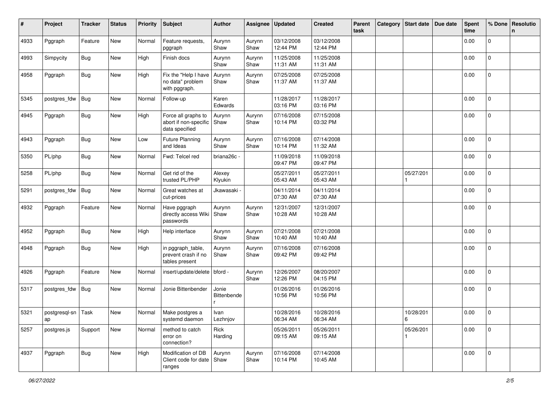| #    | Project                    | <b>Tracker</b> | <b>Status</b> | <b>Priority</b> | <b>Subject</b>                                                 | <b>Author</b>        | Assignee       | <b>Updated</b>         | <b>Created</b>         | Parent<br>task | Category | Start date           | Due date | <b>Spent</b><br>time | % Done       | Resolutio<br>n |
|------|----------------------------|----------------|---------------|-----------------|----------------------------------------------------------------|----------------------|----------------|------------------------|------------------------|----------------|----------|----------------------|----------|----------------------|--------------|----------------|
| 4933 | Pggraph                    | Feature        | New           | Normal          | Feature requests,<br>pggraph                                   | Aurynn<br>Shaw       | Aurynn<br>Shaw | 03/12/2008<br>12:44 PM | 03/12/2008<br>12:44 PM |                |          |                      |          | 0.00                 | $\mathbf 0$  |                |
| 4993 | Simpycity                  | <b>Bug</b>     | New           | High            | Finish docs                                                    | Aurynn<br>Shaw       | Aurynn<br>Shaw | 11/25/2008<br>11:31 AM | 11/25/2008<br>11:31 AM |                |          |                      |          | 0.00                 | 0            |                |
| 4958 | Pggraph                    | <b>Bug</b>     | New           | High            | Fix the "Help I have<br>no data" problem<br>with pggraph.      | Aurynn<br>Shaw       | Aurynn<br>Shaw | 07/25/2008<br>11:37 AM | 07/25/2008<br>11:37 AM |                |          |                      |          | 0.00                 | 0            |                |
| 5345 | postgres_fdw               | <b>Bug</b>     | New           | Normal          | Follow-up                                                      | Karen<br>Edwards     |                | 11/28/2017<br>03:16 PM | 11/28/2017<br>03:16 PM |                |          |                      |          | 0.00                 | 0            |                |
| 4945 | Pggraph                    | <b>Bug</b>     | New           | High            | Force all graphs to<br>abort if non-specific<br>data specified | Aurynn<br>Shaw       | Aurynn<br>Shaw | 07/16/2008<br>10:14 PM | 07/15/2008<br>03:32 PM |                |          |                      |          | 0.00                 | 0            |                |
| 4943 | Pggraph                    | <b>Bug</b>     | New           | Low             | <b>Future Planning</b><br>and Ideas                            | Aurynn<br>Shaw       | Aurynn<br>Shaw | 07/16/2008<br>10:14 PM | 07/14/2008<br>11:32 AM |                |          |                      |          | 0.00                 | 0            |                |
| 5350 | PL/php                     | <b>Bug</b>     | New           | Normal          | Fwd: Telcel red                                                | briana26c -          |                | 11/09/2018<br>09:47 PM | 11/09/2018<br>09:47 PM |                |          |                      |          | 0.00                 | 0            |                |
| 5258 | PL/php                     | <b>Bug</b>     | New           | Normal          | Get rid of the<br>trusted PL/PHP                               | Alexey<br>Klyukin    |                | 05/27/2011<br>05:43 AM | 05/27/2011<br>05:43 AM |                |          | 05/27/201            |          | 0.00                 | $\mathbf 0$  |                |
| 5291 | postgres_fdw               | Bug            | New           | Normal          | Great watches at<br>cut-prices                                 | Jkawasaki -          |                | 04/11/2014<br>07:30 AM | 04/11/2014<br>07:30 AM |                |          |                      |          | 0.00                 | 0            |                |
| 4932 | Pggraph                    | Feature        | New           | Normal          | Have pggraph<br>directly access Wiki<br>passwords              | Aurynn<br>l Shaw     | Aurynn<br>Shaw | 12/31/2007<br>10:28 AM | 12/31/2007<br>10:28 AM |                |          |                      |          | 0.00                 | 0            |                |
| 4952 | Pggraph                    | Bug            | New           | High            | Help interface                                                 | Aurynn<br>Shaw       | Aurynn<br>Shaw | 07/21/2008<br>10:40 AM | 07/21/2008<br>10:40 AM |                |          |                      |          | 0.00                 | 0            |                |
| 4948 | Pggraph                    | <b>Bug</b>     | New           | High            | in pggraph_table,<br>prevent crash if no<br>tables present     | Aurynn<br>Shaw       | Aurynn<br>Shaw | 07/16/2008<br>09:42 PM | 07/16/2008<br>09:42 PM |                |          |                      |          | 0.00                 | 0            |                |
| 4926 | Pggraph                    | Feature        | New           | Normal          | insert/update/delete   bford -                                 |                      | Aurynn<br>Shaw | 12/26/2007<br>12:26 PM | 08/20/2007<br>04:15 PM |                |          |                      |          | 0.00                 | $\mathbf 0$  |                |
| 5317 | postgres_fdw               | Bug            | New           | Normal          | Jonie Bittenbender                                             | Jonie<br>Bittenbende |                | 01/26/2016<br>10:56 PM | 01/26/2016<br>10:56 PM |                |          |                      |          | 0.00                 | $\mathbf 0$  |                |
| 5321 | postgresql-sn   Task<br>ap |                | New           | Normal          | Make postgres a<br>systemd daemon                              | Ivan<br>Lezhnjov     |                | 10/28/2016<br>06:34 AM | 10/28/2016<br>06:34 AM |                |          | 10/28/201<br>$\,6\,$ |          | 0.00                 | $\mathbf 0$  |                |
| 5257 | postgres.js                | Support        | New           | Normal          | method to catch<br>error on<br>connection?                     | Rick<br>Harding      |                | 05/26/2011<br>09:15 AM | 05/26/2011<br>09:15 AM |                |          | 05/26/201            |          | 0.00                 | 0            |                |
| 4937 | Pggraph                    | Bug            | New           | High            | Modification of DB<br>Client code for date   Shaw<br>ranges    | Aurynn               | Aurynn<br>Shaw | 07/16/2008<br>10:14 PM | 07/14/2008<br>10:45 AM |                |          |                      |          | 0.00                 | $\mathbf{0}$ |                |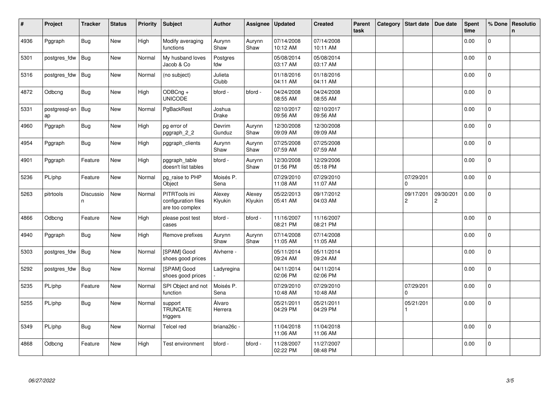| #    | Project             | <b>Tracker</b> | <b>Status</b> | <b>Priority</b> | <b>Subject</b>                                          | <b>Author</b>     | Assignee          | <b>Updated</b>         | <b>Created</b>         | Parent<br>task | Category | <b>Start date</b>           | Due date                    | <b>Spent</b><br>time | % Done         | Resolutio<br>$\mathsf{n}$ |
|------|---------------------|----------------|---------------|-----------------|---------------------------------------------------------|-------------------|-------------------|------------------------|------------------------|----------------|----------|-----------------------------|-----------------------------|----------------------|----------------|---------------------------|
| 4936 | Pggraph             | <b>Bug</b>     | New           | High            | Modify averaging<br>functions                           | Aurynn<br>Shaw    | Aurynn<br>Shaw    | 07/14/2008<br>10:12 AM | 07/14/2008<br>10:11 AM |                |          |                             |                             | 0.00                 | $\Omega$       |                           |
| 5301 | postgres_fdw        | <b>Bug</b>     | New           | Normal          | My husband loves<br>Jacob & Co                          | Postgres<br>fdw   |                   | 05/08/2014<br>03:17 AM | 05/08/2014<br>03:17 AM |                |          |                             |                             | 0.00                 | $\mathbf 0$    |                           |
| 5316 | postgres_fdw        | Bug            | New           | Normal          | (no subject)                                            | Julieta<br>Clubb  |                   | 01/18/2016<br>04:11 AM | 01/18/2016<br>04:11 AM |                |          |                             |                             | 0.00                 | $\mathbf 0$    |                           |
| 4872 | Odbcng              | Bug            | New           | High            | ODBCng +<br><b>UNICODE</b>                              | bford -           | bford -           | 04/24/2008<br>08:55 AM | 04/24/2008<br>08:55 AM |                |          |                             |                             | 0.00                 | $\mathbf{0}$   |                           |
| 5331 | postgresgl-sn<br>ap | Bug            | <b>New</b>    | Normal          | PgBackRest                                              | Joshua<br>Drake   |                   | 02/10/2017<br>09:56 AM | 02/10/2017<br>09:56 AM |                |          |                             |                             | 0.00                 | 0              |                           |
| 4960 | Pggraph             | <b>Bug</b>     | <b>New</b>    | High            | pg error of<br>pggraph_2_2                              | Devrim<br>Gunduz  | Aurynn<br>Shaw    | 12/30/2008<br>09:09 AM | 12/30/2008<br>09:09 AM |                |          |                             |                             | 0.00                 | $\mathbf 0$    |                           |
| 4954 | Pggraph             | Bug            | <b>New</b>    | High            | pggraph_clients                                         | Aurynn<br>Shaw    | Aurynn<br>Shaw    | 07/25/2008<br>07:59 AM | 07/25/2008<br>07:59 AM |                |          |                             |                             | 0.00                 | $\mathbf 0$    |                           |
| 4901 | Pggraph             | Feature        | New           | High            | pggraph_table<br>doesn't list tables                    | bford -           | Aurynn<br>Shaw    | 12/30/2008<br>01:56 PM | 12/29/2006<br>05:18 PM |                |          |                             |                             | 0.00                 | $\Omega$       |                           |
| 5236 | PL/php              | Feature        | New           | Normal          | pg_raise to PHP<br>Object                               | Moisés P.<br>Sena |                   | 07/29/2010<br>11:08 AM | 07/29/2010<br>11:07 AM |                |          | 07/29/201<br>$\Omega$       |                             | 0.00                 | 0              |                           |
| 5263 | pitrtools           | Discussio<br>n | New           | Normal          | PITRTools ini<br>configuration files<br>are too complex | Alexey<br>Klyukin | Alexey<br>Klyukin | 05/22/2013<br>05:41 AM | 09/17/2012<br>04:03 AM |                |          | 09/17/201<br>$\overline{c}$ | 09/30/201<br>$\overline{c}$ | 0.00                 | $\overline{0}$ |                           |
| 4866 | Odbcng              | Feature        | New           | High            | please post test<br>cases                               | bford -           | bford -           | 11/16/2007<br>08:21 PM | 11/16/2007<br>08:21 PM |                |          |                             |                             | 0.00                 | 0              |                           |
| 4940 | Pggraph             | <b>Bug</b>     | <b>New</b>    | High            | Remove prefixes                                         | Aurynn<br>Shaw    | Aurynn<br>Shaw    | 07/14/2008<br>11:05 AM | 07/14/2008<br>11:05 AM |                |          |                             |                             | 0.00                 | $\mathbf 0$    |                           |
| 5303 | postgres_fdw        | Bug            | New           | Normal          | [SPAM] Good<br>shoes good prices                        | Alvherre -        |                   | 05/11/2014<br>09:24 AM | 05/11/2014<br>09:24 AM |                |          |                             |                             | 0.00                 | $\mathbf 0$    |                           |
| 5292 | postgres_fdw        | Bug            | New           | Normal          | [SPAM] Good<br>shoes good prices                        | Ladyregina        |                   | 04/11/2014<br>02:06 PM | 04/11/2014<br>02:06 PM |                |          |                             |                             | 0.00                 | $\mathbf 0$    |                           |
| 5235 | PL/php              | Feature        | New           | Normal          | SPI Object and not<br>function                          | Moisés P.<br>Sena |                   | 07/29/2010<br>10:48 AM | 07/29/2010<br>10:48 AM |                |          | 07/29/201<br>0              |                             | 0.00                 | 0              |                           |
| 5255 | PL/php              | Bug            | New           | Normal          | support<br><b>TRUNCATE</b><br>triggers                  | Álvaro<br>Herrera |                   | 05/21/2011<br>04:29 PM | 05/21/2011<br>04:29 PM |                |          | 05/21/201                   |                             | 0.00                 | $\overline{0}$ |                           |
| 5349 | PL/php              | <b>Bug</b>     | <b>New</b>    | Normal          | Telcel red                                              | briana26c -       |                   | 11/04/2018<br>11:06 AM | 11/04/2018<br>11:06 AM |                |          |                             |                             | 0.00                 | $\overline{0}$ |                           |
| 4868 | Odbcng              | Feature        | <b>New</b>    | High            | Test environment                                        | bford -           | bford -           | 11/28/2007<br>02:22 PM | 11/27/2007<br>08:48 PM |                |          |                             |                             | 0.00                 | 0              |                           |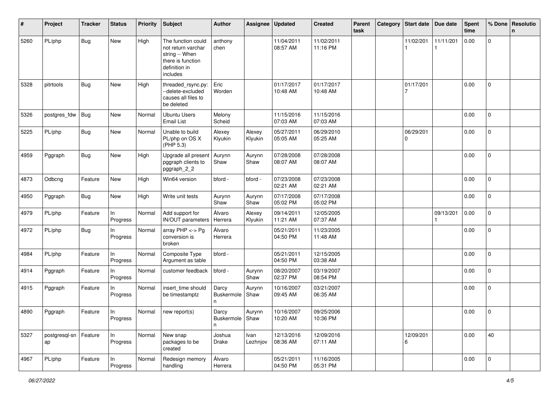| #    | Project             | <b>Tracker</b> | <b>Status</b>  | <b>Priority</b> | <b>Subject</b>                                                                                               | Author                          | Assignee          | <b>Updated</b>         | <b>Created</b>         | Parent<br>task | Category | <b>Start date</b> | Due date  | <b>Spent</b><br>time | % Done      | Resolutio<br>n |
|------|---------------------|----------------|----------------|-----------------|--------------------------------------------------------------------------------------------------------------|---------------------------------|-------------------|------------------------|------------------------|----------------|----------|-------------------|-----------|----------------------|-------------|----------------|
| 5260 | PL/php              | <b>Bug</b>     | New            | High            | The function could<br>not return varchar<br>string -- When<br>there is function<br>definition in<br>includes | anthony<br>chen                 |                   | 11/04/2011<br>08:57 AM | 11/02/2011<br>11:16 PM |                |          | 11/02/201         | 11/11/201 | 0.00                 | 0           |                |
| 5328 | pitrtools           | <b>Bug</b>     | New            | High            | threaded_rsync.py:<br>--delete-excluded<br>causes all files to<br>be deleted                                 | Eric<br>Worden                  |                   | 01/17/2017<br>10:48 AM | 01/17/2017<br>10:48 AM |                |          | 01/17/201<br>7    |           | 0.00                 | 0           |                |
| 5326 | postgres_fdw        | Bug            | New            | Normal          | <b>Ubuntu Users</b><br><b>Email List</b>                                                                     | Melony<br>Scheid                |                   | 11/15/2016<br>07:03 AM | 11/15/2016<br>07:03 AM |                |          |                   |           | 0.00                 | 0           |                |
| 5225 | PL/php              | <b>Bug</b>     | New            | Normal          | Unable to build<br>PL/php on OS X<br>(PHP 5.3)                                                               | Alexey<br>Klyukin               | Alexey<br>Klyukin | 05/27/2011<br>05:05 AM | 06/29/2010<br>05:25 AM |                |          | 06/29/201<br>0    |           | 0.00                 | $\mathbf 0$ |                |
| 4959 | Pggraph             | Bug            | New            | High            | Upgrade all present<br>pggraph clients to<br>pggraph_2_2                                                     | Aurynn<br>Shaw                  | Aurynn<br>Shaw    | 07/28/2008<br>08:07 AM | 07/28/2008<br>08:07 AM |                |          |                   |           | 0.00                 | 0           |                |
| 4873 | Odbcng              | Feature        | New            | High            | Win64 version                                                                                                | bford -                         | bford -           | 07/23/2008<br>02:21 AM | 07/23/2008<br>02:21 AM |                |          |                   |           | 0.00                 | 0           |                |
| 4950 | Pggraph             | Bug            | New            | High            | Write unit tests                                                                                             | Aurynn<br>Shaw                  | Aurynn<br>Shaw    | 07/17/2008<br>05:02 PM | 07/17/2008<br>05:02 PM |                |          |                   |           | 0.00                 | $\mathbf 0$ |                |
| 4979 | PL/php              | Feature        | In<br>Progress | Normal          | Add support for<br>IN/OUT parameters                                                                         | Álvaro<br>Herrera               | Alexey<br>Klyukin | 09/14/2011<br>11:21 AM | 12/05/2005<br>07:37 AM |                |          |                   | 09/13/201 | 0.00                 | $\mathbf 0$ |                |
| 4972 | PL/php              | <b>Bug</b>     | In<br>Progress | Normal          | array PHP <-> Pg<br>conversion is<br>broken                                                                  | Álvaro<br>Herrera               |                   | 05/21/2011<br>04:50 PM | 11/23/2005<br>11:48 AM |                |          |                   |           | 0.00                 | 0           |                |
| 4984 | PL/php              | Feature        | In<br>Progress | Normal          | Composite Type<br>Argument as table                                                                          | bford -                         |                   | 05/21/2011<br>04:50 PM | 12/15/2005<br>03:38 AM |                |          |                   |           | 0.00                 | $\mathbf 0$ |                |
| 4914 | Pggraph             | Feature        | In<br>Progress | Normal          | customer feedback                                                                                            | bford -                         | Aurynn<br>Shaw    | 08/20/2007<br>02:37 PM | 03/19/2007<br>08:54 PM |                |          |                   |           | 0.00                 | $\mathbf 0$ |                |
| 4915 | Pggraph             | Feature        | In<br>Progress | Normal          | insert_time should<br>be timestamptz                                                                         | Darcy<br>Buskermole<br>n        | Aurynn<br>Shaw    | 10/16/2007<br>09:45 AM | 03/21/2007<br>06:35 AM |                |          |                   |           | 0.00                 | $\mathbf 0$ |                |
| 4890 | Pggraph             | Feature        | In<br>Progress | Normal          | new report(s)                                                                                                | Darcy<br>Buskermole   Shaw<br>n | Aurynn            | 10/16/2007<br>10:20 AM | 09/25/2006<br>10:36 PM |                |          |                   |           | 0.00                 | $\mathbf 0$ |                |
| 5327 | postgresql-sn<br>ap | Feature        | In<br>Progress | Normal          | New snap<br>packages to be<br>created                                                                        | Joshua<br>Drake                 | Ivan<br>Lezhnjov  | 12/13/2016<br>08:36 AM | 12/09/2016<br>07:11 AM |                |          | 12/09/201<br>6    |           | 0.00                 | 40          |                |
| 4967 | PL/php              | Feature        | In<br>Progress | Normal          | Redesign memory<br>handling                                                                                  | Álvaro<br>Herrera               |                   | 05/21/2011<br>04:50 PM | 11/16/2005<br>05:31 PM |                |          |                   |           | 0.00                 | $\mathbf 0$ |                |